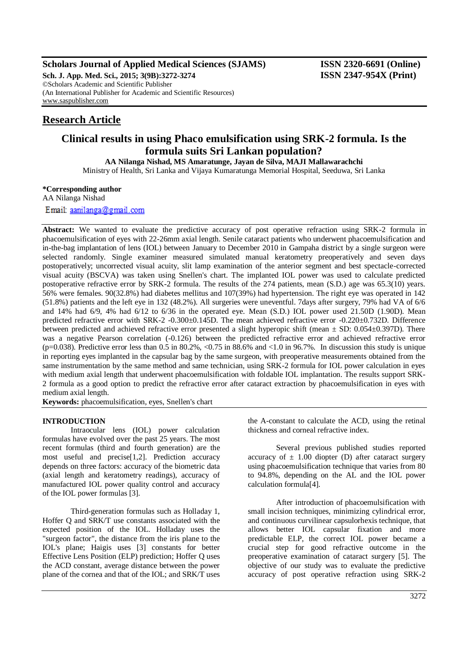# **Scholars Journal of Applied Medical Sciences (SJAMS) ISSN 2320-6691 (Online)**

**Sch. J. App. Med. Sci., 2015; 3(9B):3272-3274 ISSN 2347-954X (Print)** ©Scholars Academic and Scientific Publisher (An International Publisher for Academic and Scientific Resources) [www.saspublisher.com](http://www.saspublisher.com/)

# **Research Article**

# **Clinical results in using Phaco emulsification using SRK-2 formula. Is the formula suits Sri Lankan population?**

**AA Nilanga Nishad, MS Amaratunge, Jayan de Silva, MAJI Mallawarachchi** Ministry of Health, Sri Lanka and Vijaya Kumaratunga Memorial Hospital, Seeduwa, Sri Lanka

#### **\*Corresponding author**

AA Nilanga Nishad

Email: aanilanga@gmail.com

Abstract: We wanted to evaluate the predictive accuracy of post operative refraction using SRK-2 formula in phacoemulsification of eyes with 22-26mm axial length. Senile cataract patients who underwent phacoemulsification and in-the-bag implantation of lens (IOL) between January to December 2010 in Gampaha district by a single surgeon were selected randomly. Single examiner measured simulated manual keratometry preoperatively and seven days postoperatively; uncorrected visual acuity, slit lamp examination of the anterior segment and best spectacle-corrected visual acuity (BSCVA) was taken using Snellen's chart. The implanted IOL power was used to calculate predicted postoperative refractive error by SRK-2 formula. The results of the 274 patients, mean (S.D.) age was 65.3(10) years. 56% were females. 90(32.8%) had diabetes mellitus and 107(39%) had hypertension. The right eye was operated in 142 (51.8%) patients and the left eye in 132 (48.2%). All surgeries were uneventful. 7days after surgery, 79% had VA of 6/6 and 14% had 6/9, 4% had 6/12 to 6/36 in the operated eye. Mean (S.D.) IOL power used 21.50D (1.90D). Mean predicted refractive error with SRK-2 -0.300±0.145D. The mean achieved refractive error -0.220±0.732D. Difference between predicted and achieved refractive error presented a slight hyperopic shift (mean  $\pm$  SD: 0.054 $\pm$ 0.397D). There was a negative Pearson correlation (-0.126) between the predicted refractive error and achieved refractive error (p=0.038). Predictive error less than 0.5 in 80.2%, <0.75 in 88.6% and <1.0 in 96.7%. In discussion this study is unique in reporting eyes implanted in the capsular bag by the same surgeon, with preoperative measurements obtained from the same instrumentation by the same method and same technician, using SRK-2 formula for IOL power calculation in eyes with medium axial length that underwent phacoemulsification with foldable IOL implantation. The results support SRK-2 formula as a good option to predict the refractive error after cataract extraction by phacoemulsification in eyes with medium axial length.

**Keywords:** phacoemulsification, eyes, Snellen's chart

### **INTRODUCTION**

Intraocular lens (IOL) power calculation formulas have evolved over the past 25 years. The most recent formulas (third and fourth generation) are the most useful and precise[1,2]. Prediction accuracy depends on three factors: accuracy of the biometric data (axial length and keratometry readings), accuracy of manufactured IOL power quality control and accuracy of the IOL power formulas [3].

Third-generation formulas such as Holladay 1, Hoffer Q and SRK/T use constants associated with the expected position of the IOL. Holladay uses the "surgeon factor", the distance from the iris plane to the IOL's plane; Haigis uses [3] constants for better Effective Lens Position (ELP) prediction; Hoffer Q uses the ACD constant, average distance between the power plane of the cornea and that of the IOL; and SRK/T uses

the A-constant to calculate the ACD, using the retinal thickness and corneal refractive index.

Several previous published studies reported accuracy of  $\pm$  1.00 diopter (D) after cataract surgery using phacoemulsification technique that varies from 80 to 94.8%, depending on the AL and the IOL power calculation formula[4].

After introduction of phacoemulsification with small incision techniques, minimizing cylindrical error, and continuous curvilinear capsulorhexis technique, that allows better IOL capsular fixation and more predictable ELP, the correct IOL power became a crucial step for good refractive outcome in the preoperative examination of cataract surgery [5]. The objective of our study was to evaluate the predictive accuracy of post operative refraction using SRK-2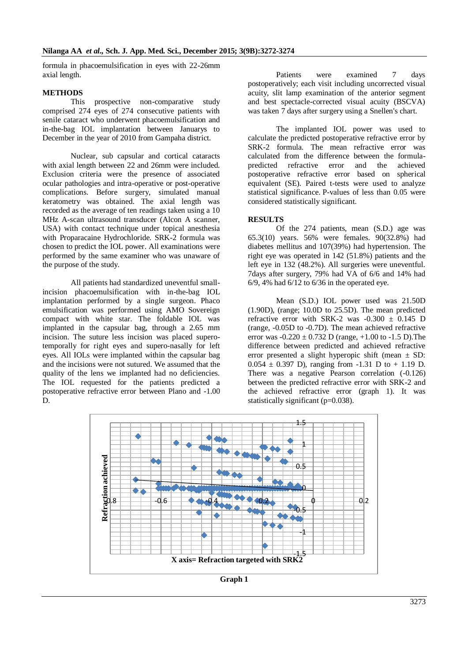formula in phacoemulsification in eyes with 22-26mm axial length.

#### **METHODS**

This prospective non-comparative study comprised 274 eyes of 274 consecutive patients with senile cataract who underwent phacoemulsification and in-the-bag IOL implantation between Januarys to December in the year of 2010 from Gampaha district.

Nuclear, sub capsular and cortical cataracts with axial length between 22 and 26mm were included. Exclusion criteria were the presence of associated ocular pathologies and intra-operative or post-operative complications. Before surgery, simulated manual keratometry was obtained. The axial length was recorded as the average of ten readings taken using a 10 MHz A-scan ultrasound transducer (Alcon A scanner, USA) with contact technique under topical anesthesia with Proparacaine Hydrochloride. SRK-2 formula was chosen to predict the IOL power. All examinations were performed by the same examiner who was unaware of the purpose of the study.

All patients had standardized uneventful smallincision phacoemulsification with in-the-bag IOL implantation performed by a single surgeon. Phaco emulsification was performed using AMO Sovereign compact with white star. The foldable IOL was implanted in the capsular bag, through a 2.65 mm incision. The suture less incision was placed superotemporally for right eyes and supero-nasally for left eyes. All IOLs were implanted within the capsular bag and the incisions were not sutured. We assumed that the quality of the lens we implanted had no deficiencies. The IOL requested for the patients predicted a postoperative refractive error between Plano and -1.00 D.

Patients were examined 7 days postoperatively; each visit including uncorrected visual acuity, slit lamp examination of the anterior segment and best spectacle-corrected visual acuity (BSCVA) was taken 7 days after surgery using a Snellen's chart.

The implanted IOL power was used to calculate the predicted postoperative refractive error by SRK-2 formula. The mean refractive error was calculated from the difference between the formulapredicted refractive error and the achieved postoperative refractive error based on spherical equivalent (SE). Paired t-tests were used to analyze statistical significance. P-values of less than 0.05 were considered statistically significant.

## **RESULTS**

Of the 274 patients, mean (S.D.) age was 65.3(10) years. 56% were females. 90(32.8%) had diabetes mellitus and 107(39%) had hypertension. The right eye was operated in 142 (51.8%) patients and the left eye in 132 (48.2%). All surgeries were uneventful. 7days after surgery, 79% had VA of 6/6 and 14% had  $6/9$ , 4% had  $6/12$  to  $6/36$  in the operated eye.

Mean (S.D.) IOL power used was 21.50D (1.90D), (range; 10.0D to 25.5D). The mean predicted refractive error with SRK-2 was  $-0.300 \pm 0.145$  D (range, -0.05D to -0.7D). The mean achieved refractive error was  $-0.220 \pm 0.732$  D (range,  $+1.00$  to  $-1.5$  D). The difference between predicted and achieved refractive error presented a slight hyperopic shift (mean  $\pm$  SD:  $0.054 \pm 0.397$  D), ranging from -1.31 D to + 1.19 D. There was a negative Pearson correlation (-0.126) between the predicted refractive error with SRK-2 and the achieved refractive error (graph 1). It was statistically significant (p=0.038).



**Graph 1**